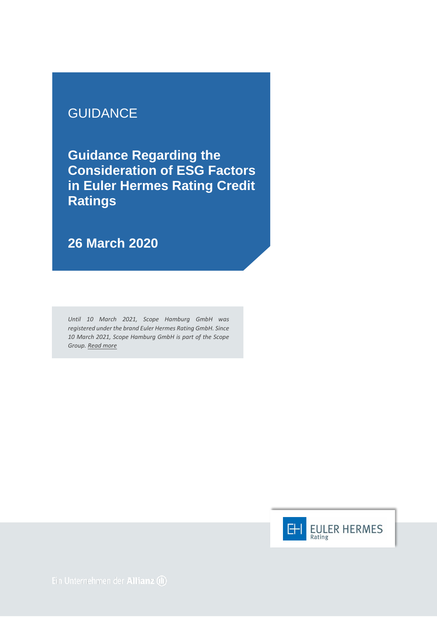## **GUIDANCE**

**Guidance Regarding the Consideration of ESG Factors in Euler Hermes Rating Credit Ratings** 

**26 March 2020**

*Until 10 March 2021, Scope Hamburg GmbH was registered under the brand Euler Hermes Rating GmbH. Since 10 March 2021, Scope Hamburg GmbH is part of the Scope Group[. Read more](https://scopegroup.com/media-centre/Scope-Group-acquires-Euler-Hermes-Rating-.html)*

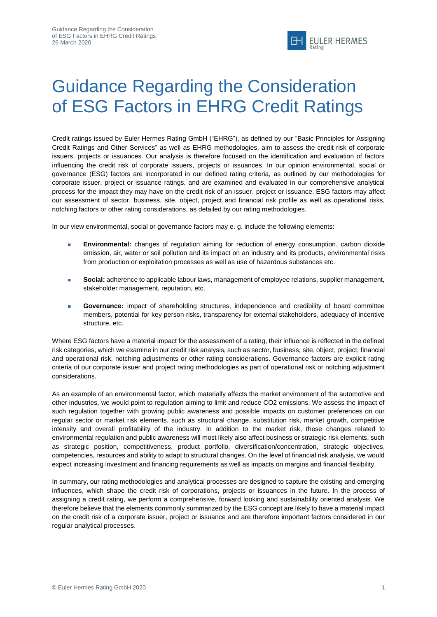

## Guidance Regarding the Consideration of ESG Factors in EHRG Credit Ratings

Credit ratings issued by Euler Hermes Rating GmbH ("EHRG"), as defined by our "Basic Principles for Assigning Credit Ratings and Other Services" as well as EHRG methodologies, aim to assess the credit risk of corporate issuers, projects or issuances. Our analysis is therefore focused on the identification and evaluation of factors influencing the credit risk of corporate issuers, projects or issuances. In our opinion environmental, social or governance (ESG) factors are incorporated in our defined rating criteria, as outlined by our methodologies for corporate issuer, project or issuance ratings, and are examined and evaluated in our comprehensive analytical process for the impact they may have on the credit risk of an issuer, project or issuance. ESG factors may affect our assessment of sector, business, site, object, project and financial risk profile as well as operational risks, notching factors or other rating considerations, as detailed by our rating methodologies.

In our view environmental, social or governance factors may e. g. include the following elements:

- **Environmental:** changes of regulation aiming for reduction of energy consumption, carbon dioxide emission, air, water or soil pollution and its impact on an industry and its products, environmental risks from production or exploitation processes as well as use of hazardous substances etc.
- **Social:** adherence to applicable labour laws, management of employee relations, supplier management, stakeholder management, reputation, etc.
- **Governance:** impact of shareholding structures, independence and credibility of board committee members, potential for key person risks, transparency for external stakeholders, adequacy of incentive structure, etc.

Where ESG factors have a material impact for the assessment of a rating, their influence is reflected in the defined risk categories, which we examine in our credit risk analysis, such as sector, business, site, object, project, financial and operational risk, notching adjustments or other rating considerations. Governance factors are explicit rating criteria of our corporate issuer and project rating methodologies as part of operational risk or notching adjustment considerations.

As an example of an environmental factor, which materially affects the market environment of the automotive and other industries, we would point to regulation aiming to limit and reduce CO2 emissions. We assess the impact of such regulation together with growing public awareness and possible impacts on customer preferences on our regular sector or market risk elements, such as structural change, substitution risk, market growth, competitive intensity and overall profitability of the industry. In addition to the market risk, these changes related to environmental regulation and public awareness will most likely also affect business or strategic risk elements, such as strategic position, competitiveness, product portfolio, diversification/concentration, strategic objectives, competencies, resources and ability to adapt to structural changes. On the level of financial risk analysis, we would expect increasing investment and financing requirements as well as impacts on margins and financial flexibility.

In summary, our rating methodologies and analytical processes are designed to capture the existing and emerging influences, which shape the credit risk of corporations, projects or issuances in the future. In the process of assigning a credit rating, we perform a comprehensive, forward looking and sustainability oriented analysis. We therefore believe that the elements commonly summarized by the ESG concept are likely to have a material impact on the credit risk of a corporate issuer, project or issuance and are therefore important factors considered in our regular analytical processes.